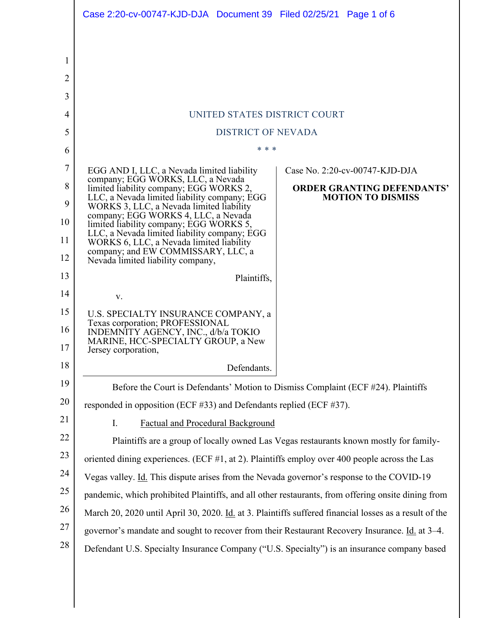|                | Case 2:20-cv-00747-KJD-DJA Document 39 Filed 02/25/21 Page 1 of 6                                                              |
|----------------|--------------------------------------------------------------------------------------------------------------------------------|
|                |                                                                                                                                |
| 1              |                                                                                                                                |
| $\overline{2}$ |                                                                                                                                |
| 3              |                                                                                                                                |
| 4              | UNITED STATES DISTRICT COURT                                                                                                   |
| 5              | <b>DISTRICT OF NEVADA</b>                                                                                                      |
| 6              | * * *                                                                                                                          |
| 7              | EGG AND I, LLC, a Nevada limited liability<br>Case No. 2:20-cv-00747-KJD-DJA                                                   |
| 8              | company; EGG WORKS, LLC, a Nevada<br>limited liability company; EGG WORKS 2,<br><b>ORDER GRANTING DEFENDANTS'</b>              |
| 9              | LLC, a Nevada limited liability company; EGG<br><b>MOTION TO DISMISS</b><br>WORKS 3, LLC, a Nevada limited liability           |
| 10             | company; EGG WORKS 4, LLC, a Nevada<br>limited liability company; EGG WORKS 5,                                                 |
| 11             | LLC, a Nevada limited liability company; EGG<br>WORKS 6, LLC, a Nevada limited liability<br>company; and EW COMMISSARY, LLC, a |
| 12             | Nevada limited liability company,                                                                                              |
| 13             | Plaintiffs,                                                                                                                    |
| 14             | V.                                                                                                                             |
| 15             | U.S. SPECIALTY INSURANCE COMPANY, a<br>Texas corporation; PROFESSIONAL                                                         |
| 16             | INDEMNITY AGENCY, INC., d/b/a TOKIO<br>MARINE, HCC-SPECIALTY GROUP, a New                                                      |
| 17             | Jersey corporation.                                                                                                            |
| 18             | Defendants.                                                                                                                    |
| 19             | Before the Court is Defendants' Motion to Dismiss Complaint (ECF #24). Plaintiffs                                              |
| 20             | responded in opposition (ECF #33) and Defendants replied (ECF #37).                                                            |
| 21<br>22       | <b>Factual and Procedural Background</b><br>I.                                                                                 |
| 23             | Plaintiffs are a group of locally owned Las Vegas restaurants known mostly for family-                                         |
| 24             | oriented dining experiences. (ECF $#1$ , at 2). Plaintiffs employ over 400 people across the Las                               |
| 25             | Vegas valley. Id. This dispute arises from the Nevada governor's response to the COVID-19                                      |
| 26             | pandemic, which prohibited Plaintiffs, and all other restaurants, from offering onsite dining from                             |
| 27             | March 20, 2020 until April 30, 2020. Id. at 3. Plaintiffs suffered financial losses as a result of the                         |
| 28             | governor's mandate and sought to recover from their Restaurant Recovery Insurance. Id. at 3–4.                                 |
|                | Defendant U.S. Specialty Insurance Company ("U.S. Specialty") is an insurance company based                                    |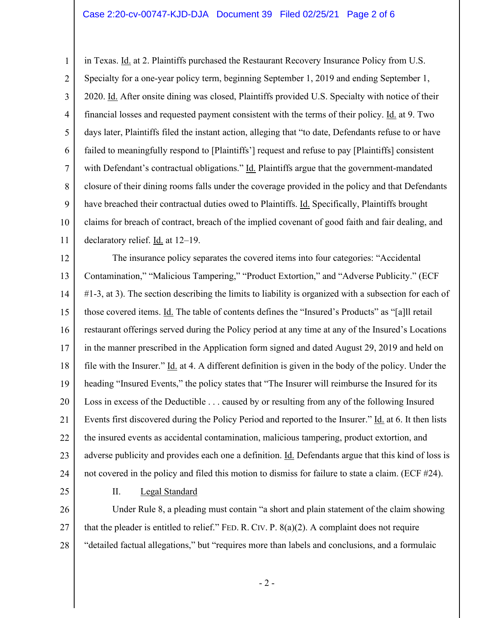## Case 2:20-cv-00747-KJD-DJA Document 39 Filed 02/25/21 Page 2 of 6

1 2 3 4 5 6 7 8 9 10 11 in Texas. Id. at 2. Plaintiffs purchased the Restaurant Recovery Insurance Policy from U.S. Specialty for a one-year policy term, beginning September 1, 2019 and ending September 1, 2020. Id. After onsite dining was closed, Plaintiffs provided U.S. Specialty with notice of their financial losses and requested payment consistent with the terms of their policy. Id. at 9. Two days later, Plaintiffs filed the instant action, alleging that "to date, Defendants refuse to or have failed to meaningfully respond to [Plaintiffs'] request and refuse to pay [Plaintiffs] consistent with Defendant's contractual obligations." Id. Plaintiffs argue that the government-mandated closure of their dining rooms falls under the coverage provided in the policy and that Defendants have breached their contractual duties owed to Plaintiffs. Id. Specifically, Plaintiffs brought claims for breach of contract, breach of the implied covenant of good faith and fair dealing, and declaratory relief. Id. at 12–19.

12 13 14 15 16 17 18 19 20 21 22 23 24 The insurance policy separates the covered items into four categories: "Accidental Contamination," "Malicious Tampering," "Product Extortion," and "Adverse Publicity." (ECF #1-3, at 3). The section describing the limits to liability is organized with a subsection for each of those covered items. Id. The table of contents defines the "Insured's Products" as "[a]ll retail restaurant offerings served during the Policy period at any time at any of the Insured's Locations in the manner prescribed in the Application form signed and dated August 29, 2019 and held on file with the Insurer." Id. at 4. A different definition is given in the body of the policy. Under the heading "Insured Events," the policy states that "The Insurer will reimburse the Insured for its Loss in excess of the Deductible . . . caused by or resulting from any of the following Insured Events first discovered during the Policy Period and reported to the Insurer." Id. at 6. It then lists the insured events as accidental contamination, malicious tampering, product extortion, and adverse publicity and provides each one a definition. Id. Defendants argue that this kind of loss is not covered in the policy and filed this motion to dismiss for failure to state a claim. (ECF #24).

25

II. Legal Standard

26 27 28 Under Rule 8, a pleading must contain "a short and plain statement of the claim showing that the pleader is entitled to relief." FED. R. CIV. P.  $8(a)(2)$ . A complaint does not require "detailed factual allegations," but "requires more than labels and conclusions, and a formulaic

- 2 -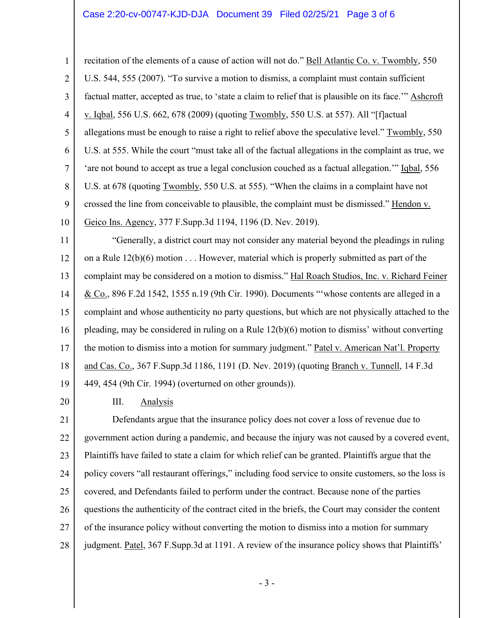## Case 2:20-cv-00747-KJD-DJA Document 39 Filed 02/25/21 Page 3 of 6

1 2 3 4 5 6 7 8 9 10 recitation of the elements of a cause of action will not do." Bell Atlantic Co. v. Twombly, 550 U.S. 544, 555 (2007). "To survive a motion to dismiss, a complaint must contain sufficient factual matter, accepted as true, to 'state a claim to relief that is plausible on its face.'" Ashcroft v. Iqbal, 556 U.S. 662, 678 (2009) (quoting Twombly, 550 U.S. at 557). All "[f]actual allegations must be enough to raise a right to relief above the speculative level." Twombly, 550 U.S. at 555. While the court "must take all of the factual allegations in the complaint as true, we 'are not bound to accept as true a legal conclusion couched as a factual allegation.'" Iqbal, 556 U.S. at 678 (quoting Twombly, 550 U.S. at 555). "When the claims in a complaint have not crossed the line from conceivable to plausible, the complaint must be dismissed." Hendon v. Geico Ins. Agency, 377 F.Supp.3d 1194, 1196 (D. Nev. 2019).

11 12 13 14 15 16 17 18 19 "Generally, a district court may not consider any material beyond the pleadings in ruling on a Rule  $12(b)(6)$  motion  $\dots$ . However, material which is properly submitted as part of the complaint may be considered on a motion to dismiss." Hal Roach Studios, Inc. v. Richard Feiner & Co., 896 F.2d 1542, 1555 n.19 (9th Cir. 1990). Documents "'whose contents are alleged in a complaint and whose authenticity no party questions, but which are not physically attached to the pleading, may be considered in ruling on a Rule 12(b)(6) motion to dismiss' without converting the motion to dismiss into a motion for summary judgment." Patel v. American Nat'l. Property and Cas. Co., 367 F.Supp.3d 1186, 1191 (D. Nev. 2019) (quoting Branch v. Tunnell, 14 F.3d 449, 454 (9th Cir. 1994) (overturned on other grounds)).

20

III. Analysis

21 22 23 24 25 26 27 28 Defendants argue that the insurance policy does not cover a loss of revenue due to government action during a pandemic, and because the injury was not caused by a covered event, Plaintiffs have failed to state a claim for which relief can be granted. Plaintiffs argue that the policy covers "all restaurant offerings," including food service to onsite customers, so the loss is covered, and Defendants failed to perform under the contract. Because none of the parties questions the authenticity of the contract cited in the briefs, the Court may consider the content of the insurance policy without converting the motion to dismiss into a motion for summary judgment. Patel, 367 F.Supp.3d at 1191. A review of the insurance policy shows that Plaintiffs'

- 3 -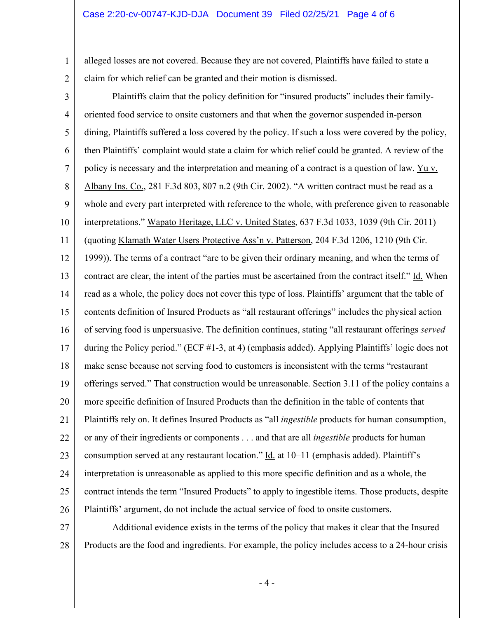1

2

alleged losses are not covered. Because they are not covered, Plaintiffs have failed to state a claim for which relief can be granted and their motion is dismissed.

3 4 5 6 7 8 9 10 11 12 13 14 15 16 17 18 19 20 21 22 23 24 25 26 Plaintiffs claim that the policy definition for "insured products" includes their familyoriented food service to onsite customers and that when the governor suspended in-person dining, Plaintiffs suffered a loss covered by the policy. If such a loss were covered by the policy, then Plaintiffs' complaint would state a claim for which relief could be granted. A review of the policy is necessary and the interpretation and meaning of a contract is a question of law. Yu v. Albany Ins. Co., 281 F.3d 803, 807 n.2 (9th Cir. 2002). "A written contract must be read as a whole and every part interpreted with reference to the whole, with preference given to reasonable interpretations." Wapato Heritage, LLC v. United States, 637 F.3d 1033, 1039 (9th Cir. 2011) (quoting Klamath Water Users Protective Ass'n v. Patterson, 204 F.3d 1206, 1210 (9th Cir. 1999)). The terms of a contract "are to be given their ordinary meaning, and when the terms of contract are clear, the intent of the parties must be ascertained from the contract itself." Id. When read as a whole, the policy does not cover this type of loss. Plaintiffs' argument that the table of contents definition of Insured Products as "all restaurant offerings" includes the physical action of serving food is unpersuasive. The definition continues, stating "all restaurant offerings *served* during the Policy period." (ECF #1-3, at 4) (emphasis added). Applying Plaintiffs' logic does not make sense because not serving food to customers is inconsistent with the terms "restaurant offerings served." That construction would be unreasonable. Section 3.11 of the policy contains a more specific definition of Insured Products than the definition in the table of contents that Plaintiffs rely on. It defines Insured Products as "all *ingestible* products for human consumption, or any of their ingredients or components . . . and that are all *ingestible* products for human consumption served at any restaurant location." Id. at 10–11 (emphasis added). Plaintiff's interpretation is unreasonable as applied to this more specific definition and as a whole, the contract intends the term "Insured Products" to apply to ingestible items. Those products, despite Plaintiffs' argument, do not include the actual service of food to onsite customers.

27 28 Additional evidence exists in the terms of the policy that makes it clear that the Insured Products are the food and ingredients. For example, the policy includes access to a 24-hour crisis

 $-4-$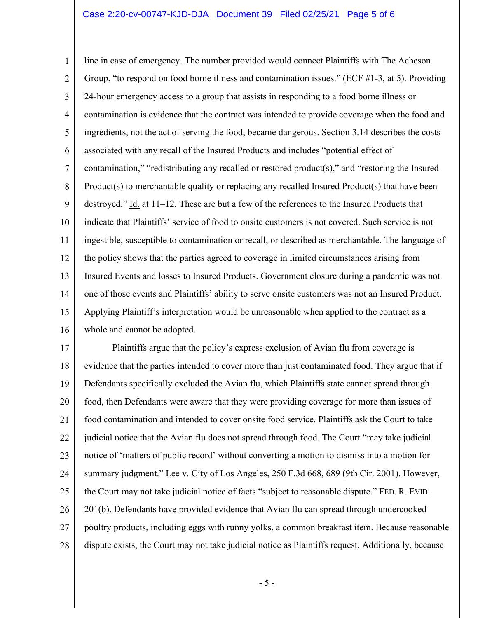## Case 2:20-cv-00747-KJD-DJA Document 39 Filed 02/25/21 Page 5 of 6

1 2 3 4 5 6 7 8 9 10 11 12 13 14 15 16 line in case of emergency. The number provided would connect Plaintiffs with The Acheson Group, "to respond on food borne illness and contamination issues." (ECF #1-3, at 5). Providing 24-hour emergency access to a group that assists in responding to a food borne illness or contamination is evidence that the contract was intended to provide coverage when the food and ingredients, not the act of serving the food, became dangerous. Section 3.14 describes the costs associated with any recall of the Insured Products and includes "potential effect of contamination," "redistributing any recalled or restored product(s)," and "restoring the Insured Product(s) to merchantable quality or replacing any recalled Insured Product(s) that have been destroyed." Id. at 11–12. These are but a few of the references to the Insured Products that indicate that Plaintiffs' service of food to onsite customers is not covered. Such service is not ingestible, susceptible to contamination or recall, or described as merchantable. The language of the policy shows that the parties agreed to coverage in limited circumstances arising from Insured Events and losses to Insured Products. Government closure during a pandemic was not one of those events and Plaintiffs' ability to serve onsite customers was not an Insured Product. Applying Plaintiff's interpretation would be unreasonable when applied to the contract as a whole and cannot be adopted.

17 18 19 20 21 22 23 24 25 26 27 28 Plaintiffs argue that the policy's express exclusion of Avian flu from coverage is evidence that the parties intended to cover more than just contaminated food. They argue that if Defendants specifically excluded the Avian flu, which Plaintiffs state cannot spread through food, then Defendants were aware that they were providing coverage for more than issues of food contamination and intended to cover onsite food service. Plaintiffs ask the Court to take judicial notice that the Avian flu does not spread through food. The Court "may take judicial notice of 'matters of public record' without converting a motion to dismiss into a motion for summary judgment." Lee v. City of Los Angeles, 250 F.3d 668, 689 (9th Cir. 2001). However, the Court may not take judicial notice of facts "subject to reasonable dispute." FED. R. EVID. 201(b). Defendants have provided evidence that Avian flu can spread through undercooked poultry products, including eggs with runny yolks, a common breakfast item. Because reasonable dispute exists, the Court may not take judicial notice as Plaintiffs request. Additionally, because

- 5 -